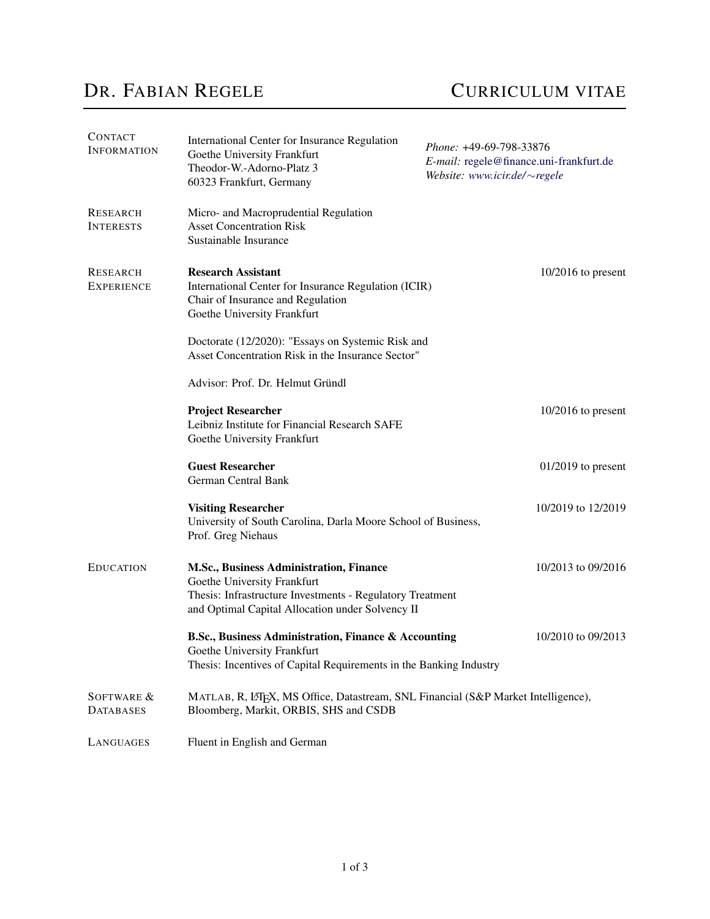## DR. FABIAN REGELE CURRICULUM VITAE

| <b>CONTACT</b><br><b>INFORMATION</b> | International Center for Insurance Regulation<br>Goethe University Frankfurt<br>Theodor-W.-Adorno-Platz 3<br>60323 Frankfurt, Germany                                                   | Phone: +49-69-798-33876<br>E-mail: regele@finance.uni-frankfurt.de<br>Website: www.icir.de/ $\sim$ regele |                      |
|--------------------------------------|-----------------------------------------------------------------------------------------------------------------------------------------------------------------------------------------|-----------------------------------------------------------------------------------------------------------|----------------------|
| <b>RESEARCH</b><br><b>INTERESTS</b>  | Micro- and Macroprudential Regulation<br><b>Asset Concentration Risk</b><br>Sustainable Insurance                                                                                       |                                                                                                           |                      |
| <b>RESEARCH</b><br><b>EXPERIENCE</b> | <b>Research Assistant</b><br>International Center for Insurance Regulation (ICIR)<br>Chair of Insurance and Regulation<br>Goethe University Frankfurt                                   |                                                                                                           | $10/2016$ to present |
|                                      | Doctorate (12/2020): "Essays on Systemic Risk and<br>Asset Concentration Risk in the Insurance Sector"                                                                                  |                                                                                                           |                      |
|                                      | Advisor: Prof. Dr. Helmut Gründl                                                                                                                                                        |                                                                                                           |                      |
|                                      | <b>Project Researcher</b><br>Leibniz Institute for Financial Research SAFE<br>Goethe University Frankfurt                                                                               |                                                                                                           | $10/2016$ to present |
|                                      | <b>Guest Researcher</b><br>German Central Bank                                                                                                                                          |                                                                                                           | $01/2019$ to present |
|                                      | <b>Visiting Researcher</b><br>University of South Carolina, Darla Moore School of Business,<br>Prof. Greg Niehaus                                                                       |                                                                                                           | 10/2019 to 12/2019   |
| <b>EDUCATION</b>                     | M.Sc., Business Administration, Finance<br>Goethe University Frankfurt<br>Thesis: Infrastructure Investments - Regulatory Treatment<br>and Optimal Capital Allocation under Solvency II |                                                                                                           | 10/2013 to 09/2016   |
|                                      | B.Sc., Business Administration, Finance & Accounting<br>Goethe University Frankfurt<br>Thesis: Incentives of Capital Requirements in the Banking Industry                               |                                                                                                           | 10/2010 to 09/2013   |
| SOFTWARE &<br><b>DATABASES</b>       | MATLAB, R, L'IEX, MS Office, Datastream, SNL Financial (S&P Market Intelligence),<br>Bloomberg, Markit, ORBIS, SHS and CSDB                                                             |                                                                                                           |                      |
| LANGUAGES                            | Fluent in English and German                                                                                                                                                            |                                                                                                           |                      |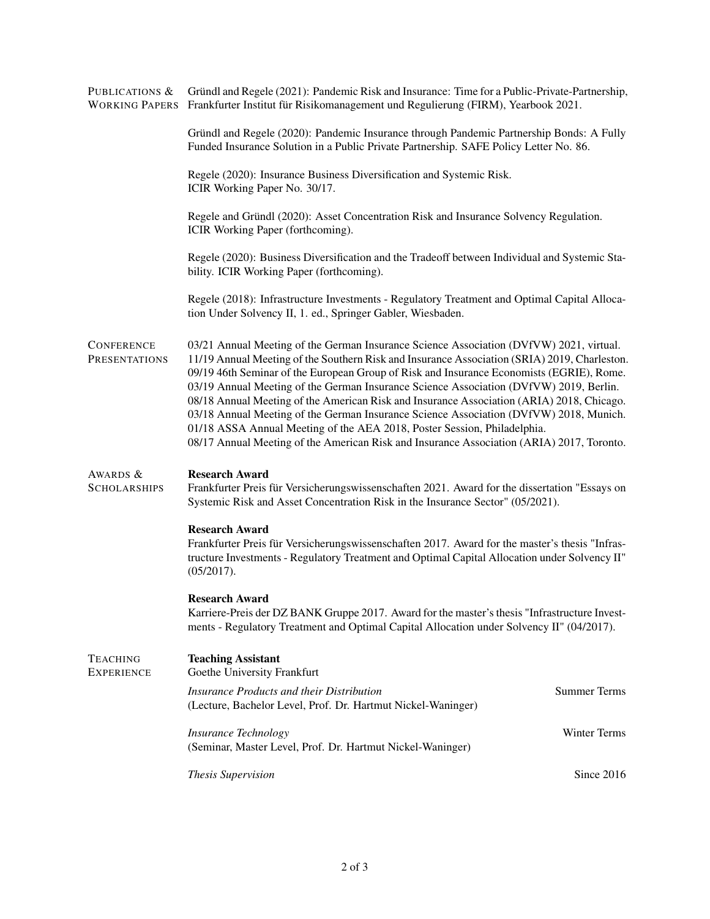| PUBLICATIONS &                            | Gründl and Regele (2021): Pandemic Risk and Insurance: Time for a Public-Private-Partnership,<br>WORKING PAPERS Frankfurter Institut für Risikomanagement und Regulierung (FIRM), Yearbook 2021.                                                                                                                                                                                                                                                                                                                                                                                                                                                                                                                                              |                     |  |
|-------------------------------------------|-----------------------------------------------------------------------------------------------------------------------------------------------------------------------------------------------------------------------------------------------------------------------------------------------------------------------------------------------------------------------------------------------------------------------------------------------------------------------------------------------------------------------------------------------------------------------------------------------------------------------------------------------------------------------------------------------------------------------------------------------|---------------------|--|
|                                           | Gründl and Regele (2020): Pandemic Insurance through Pandemic Partnership Bonds: A Fully<br>Funded Insurance Solution in a Public Private Partnership. SAFE Policy Letter No. 86.                                                                                                                                                                                                                                                                                                                                                                                                                                                                                                                                                             |                     |  |
|                                           | Regele (2020): Insurance Business Diversification and Systemic Risk.<br>ICIR Working Paper No. 30/17.                                                                                                                                                                                                                                                                                                                                                                                                                                                                                                                                                                                                                                         |                     |  |
|                                           | Regele and Gründl (2020): Asset Concentration Risk and Insurance Solvency Regulation.<br>ICIR Working Paper (forthcoming).                                                                                                                                                                                                                                                                                                                                                                                                                                                                                                                                                                                                                    |                     |  |
|                                           | Regele (2020): Business Diversification and the Tradeoff between Individual and Systemic Sta-<br>bility. ICIR Working Paper (forthcoming).                                                                                                                                                                                                                                                                                                                                                                                                                                                                                                                                                                                                    |                     |  |
|                                           | Regele (2018): Infrastructure Investments - Regulatory Treatment and Optimal Capital Alloca-<br>tion Under Solvency II, 1. ed., Springer Gabler, Wiesbaden.                                                                                                                                                                                                                                                                                                                                                                                                                                                                                                                                                                                   |                     |  |
| <b>CONFERENCE</b><br><b>PRESENTATIONS</b> | 03/21 Annual Meeting of the German Insurance Science Association (DVfVW) 2021, virtual.<br>11/19 Annual Meeting of the Southern Risk and Insurance Association (SRIA) 2019, Charleston.<br>09/19 46th Seminar of the European Group of Risk and Insurance Economists (EGRIE), Rome.<br>03/19 Annual Meeting of the German Insurance Science Association (DVfVW) 2019, Berlin.<br>08/18 Annual Meeting of the American Risk and Insurance Association (ARIA) 2018, Chicago.<br>03/18 Annual Meeting of the German Insurance Science Association (DVfVW) 2018, Munich.<br>01/18 ASSA Annual Meeting of the AEA 2018, Poster Session, Philadelphia.<br>08/17 Annual Meeting of the American Risk and Insurance Association (ARIA) 2017, Toronto. |                     |  |
| AWARDS &<br><b>SCHOLARSHIPS</b>           | <b>Research Award</b><br>Frankfurter Preis für Versicherungswissenschaften 2021. Award for the dissertation "Essays on<br>Systemic Risk and Asset Concentration Risk in the Insurance Sector" (05/2021).                                                                                                                                                                                                                                                                                                                                                                                                                                                                                                                                      |                     |  |
|                                           | <b>Research Award</b><br>Frankfurter Preis für Versicherungswissenschaften 2017. Award for the master's thesis "Infras-<br>tructure Investments - Regulatory Treatment and Optimal Capital Allocation under Solvency II"<br>(05/2017).                                                                                                                                                                                                                                                                                                                                                                                                                                                                                                        |                     |  |
|                                           | <b>Research Award</b><br>Karriere-Preis der DZ BANK Gruppe 2017. Award for the master's thesis "Infrastructure Invest-<br>ments - Regulatory Treatment and Optimal Capital Allocation under Solvency II" (04/2017).                                                                                                                                                                                                                                                                                                                                                                                                                                                                                                                           |                     |  |
| <b>TEACHING</b><br><b>EXPERIENCE</b>      | <b>Teaching Assistant</b><br>Goethe University Frankfurt                                                                                                                                                                                                                                                                                                                                                                                                                                                                                                                                                                                                                                                                                      |                     |  |
|                                           | <b>Insurance Products and their Distribution</b><br>(Lecture, Bachelor Level, Prof. Dr. Hartmut Nickel-Waninger)                                                                                                                                                                                                                                                                                                                                                                                                                                                                                                                                                                                                                              | <b>Summer Terms</b> |  |
|                                           | <b>Insurance Technology</b><br>(Seminar, Master Level, Prof. Dr. Hartmut Nickel-Waninger)                                                                                                                                                                                                                                                                                                                                                                                                                                                                                                                                                                                                                                                     | Winter Terms        |  |
|                                           | <b>Thesis Supervision</b>                                                                                                                                                                                                                                                                                                                                                                                                                                                                                                                                                                                                                                                                                                                     | Since 2016          |  |